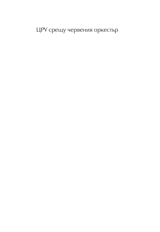ЦРУ срещу червения оркестьр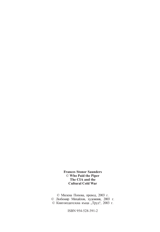**Frances Stonor Saunders** © **Who Paid the Piper The CIA and the Cultural Cold War**

© Милена Попова, превод, 2003 г. © Любомир Михайлов, художник, 2003 г. © Книгоиздателска къща "Труд", 2003 г.

ISBN 954-528-391-2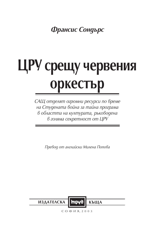Франсис Сондърс

## ЦРУ срещу червения **Оркестьр**

САЩ отделят огромни ресурси по време на Студената война за тайна програма в областта на културата, ръководена в голяма секретност от ЦРУ

Превод от английски Милена Попова



 $CO$  ФИЯ, 2003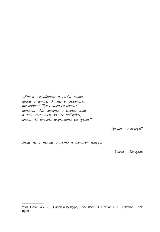"Каква случайност и съдба каква, преди смъртта да те е сполетяла, те водят? Тук с кого се озова?" попита. "На земята, в слънце цяла, в един пустинен дол се заблудих, преди да стигна възрастта си зряла."

Данте Алигиери\*

Знам, че е тайна, защото я шептят навред.

Уилям Конгрийв

<sup>\*</sup>Ад, Песен XV. С., Народна култура, 1975, прев. И. Иванов и Л. Любенов - бел. прев.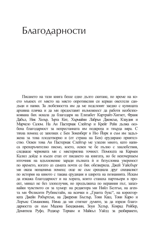## Благодарности

Писането на тази книга беше едно дълго скитане, по време на което мъкнех от място на място опротивелия си керван овехтели сандъци и папки. За любезността им да ме подслонят заедно с купищата архивна плячка и ла ми прелоставят възможност ла работя необезпокоявана бих искала да благодаря на Елизабет Картрайт-Хигнет, Франк Дабъл, Ник Хюър, Ърта Кит, Хърмайни Лабрън Джонсън, Клаудия и Марчело Салом. На Ан Пастернак Слейтър и Крейг Рейн дылжа особена благодарност за непрестанната им подкрепа и твърда вяра. С тяхна помощ се запознах с Бен Зоненберг в Ню Йорк и съм им залължена за това плодотворно и (от страна на Бен) ерудирано приятелство. Освен това Ан Пастернак Слейтър ме улесни много, като написа препоръчително писмо, което, освен че бе пълно с хвалебствия. следваще черновата ми с мистериозна точност. Помощта на Кармен Калил лойле в късен етап от писането на книгата, но бе неизчерпаем източник на вдъхновение заради пълната ѝ и безусловна увереност по времето, когато аз самата почти се бях обезверила. Джей Уайсбърг ми оказа неоценима помощ: още не съм срещнала друг специалист по история на киното с такава ерудиция и широта на познанията. Искам да изкажа благодарност и на хората, които станаха партньори в проект, минал не без злополучия, но продължиха по неравния път, запазвайки чувството си за хумор: на редактора ми Нийл Белтън, на агента ми Фелисити Рубинстайн, на всички в "Гранта букс", на коректорката Джейн Робъртсън, на Джереми Бъглър, Тони Каш, Тони Карю и Лорънс Симановиц. Няма да ми стигнат думите, за да изразя благодарността си към Мадона Бенджамин, Зоуи Хелър, Конрад Ройбер, Домитила Руфо, Роджър Торнам и Майкъл Уайлд за разбирането,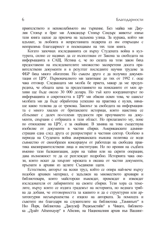приятелството и непоколебимото им търпение. Без майка ми Джулия Стонър и брат ми Александър Стонър Сондърс животът извън тази книга шеше да прилича на залънена улица. За куража, който ми вдъхват, за любовта и непрестанната подкрепа аз им отвръщам с неизразима благодарност и посвещавам на тях тази книга.

Когато започнах изследванията си върху Студената война в културата, силно се надявах да се възползвам от Закона за свободата на информацията в САШ. Истина е, че по силата на този закон бяха предоставени на изследователите множество засекретени досега правителствени документи и в резултат последните научни трудове за ФБР бяха много обогатени. Но съвсем друго е да получиш документация от ЦРУ. Първоначалното ми запитване до тях от 1992 г. още чака отговор. Следващата ми молба бе приета, макар да ме предупредиха, че общата цена за предоставянето на поисканите от мен архиви ще бъде около 30 000 долара. Но тъй като координаторът по информацията и секретността в ЦРУ ми обясни освен това, че шансът молбата ми да бъде обработена успешно на практика е нулев, нямаше какво толкова ла се тревожа. Законът за свободата на информацията е много хвален от британските историци, които наистина се сблъскват с лалеч по-големи трудности при проучването на документи, свързани с отбраната в тази област. Но прилагането му, поне по отношение на ЦРУ, е за окайване. В замяна на това съществува изобилие от локументи в частни сбирки. Американските алминистрации една след друга се разпростират в частния сектор. Особено в периода на Студената война американската външна политика се води съвместно от своеобразен консорциум от работеши на свободна практика квазиправителствени лица и институции. Но по ирония на съдбата именно тази балканизация, дори на тайни или на скрити операции, дава възможност те да се разглеждат подробно. Историята чака онези, които искат да хвърлят мрежата в океана от частни документи, пръснати в архиви из целите Съединени щати.

Естествено, авторът на всеки труд, който се опира най-вече върху подобен архивен материал, е задылжен на множеството архивари и библиотекари, които майсторски въвеждат, превеждат и извеждат изследователя от лабиринтите на своите сбирки. Тези хора са темелите, върху които се издига градежът на историята, но веднага трябва да добавя, че отговорността за каквито и да е структурни или архитектурни несъвършенства е изцяло на авторката. За помощта и съветите им благодаря на служителите на библиотека "Таминънт" в Ню Йорк, библиотека "Джоузеф Риджьнстийн" в Чикаго, библиотека "Дуайт Айзенхауер" в Абилин, на Националния архив във Вашинг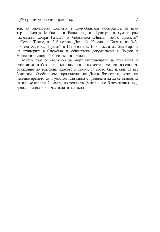тон, на библиотека "Бътлър" в Колумбийския университет, на центъра "Джордж Мийни" във Вашингтон, на Центъра за хуманитарни изслелвания Хари Рансьм" и библиотека Линлън Бейнс Лжонсън" в Остин, Тексас, на библиотека "Джон Ф. Кенеди" в Бостън, на библиотека Хари С. Труман" в Индипендънс. Бих искала да благодаря и на архиварите в Службата за обществена документация в Лондон и Университетската библиотека в Рединг.

Много хора се съгласиха да бъдат интервюирани за тази книга и откликнаха любезно и търпеливо на неколкократните ми посещения, обаждания по телефона, факсове и писма, за което бих искала да им благодаря. Особено съм признателна на Даяна Джоселсън, която не пестеше времето си и удостои тази книга с привилегията да се възползва от великолепната ѝ памет, постоянната (макар и не безкритична) подкрепа и снимки от частната ѝ колекция.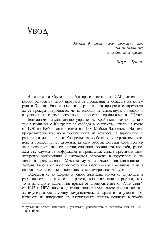## Увод

Можеш да правиш добра пропаганда само ако си даваш вид. че изобщо не я правиш.

Ричард Кросман

В разгара на Студената война правителството на САЩ отделя огромни ресурси за тайна програма за пропаганда в областта на културата в Западна Европа. Основна черта на тази програма е стремежът ла се прокара твърдението, че тя изобщо не съществува. Ръководи я в условия на голяма секретност шпионската организация на Шатите - Централното разузнавателно управление. Крайъгълен камък на тази тайна кампания е Конгресът за свобода в културата, начело на който от 1950 ло 1967 г. стои агентът на ПРУ Майкъл Лжоселсън. Не само продължителността, но и постиженията на конгреса са значителни. В разгара на дейността си Конгресът за свобода в културата има клонове в трийсет и пет държави, за него работят десетки хора, той издава повече от лвайсет елитни списания, организира изложби, разполага със служба за информация и пропаганда, свиква престижни межлународни конференции и награждава музиканти и художници с отличия и представления. Мисията му е да отклони интелитенцията в Западна Европа от пристрастието към марксизма и комунизма и да я насочи към светоглед, податлив към "американския курс".

Облягайки се на широка и много влиятелна мрежа от служители в разузнаването, политически стратези, корпоративната върхушка, както и на старите академични връзки от университетите от Айви лийг\*, от 1947 г. ЦРУ започва да гради "консорциум", чиято двойна задача е ла имунизира света срешу комунистическата зараза и ла улесни прокарването на интересите на американската външна политика в чужби-

<sup>\*</sup> Групата на осемте най-стари и уважавани университета в източната част на САЩ  $-$  бел. прев.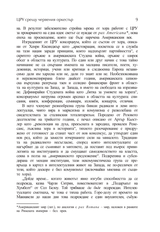на. В резултат забележително стройна мрежа от хора работят с ЦРУ за прокарването на една идея: светът се нуждае от рах Americana\*, нова епоха на просвешение, която ше бъле наречена Американския век.

Изграденият от ЦРУ консорциум, който се състои от хора, описани от Хенри Кисинджър като "аристокрация, посветила се в служба на тази нация заради принципи, които надхвърлят партийността", е скритото оръжие в американската Студена война, оръжие с широк обсег в областта на културата. По един или друг начин с това тайно начинание не са свързани имената на малцина писатели, поети, художници, историци, учени или критици в следвоенна Европа независимо дали им харесва или не, дали го знаят или не. Необезпокоявана и неразконспирирана близо двайсет години, американската шпионска върхушка разгръща таен и солидно финансиран фронт в областта на културата на Запад, за Запада, в името на свободата на изразяване. Дефинирайки Студената война като "битка за умовете на хората", консорциумът натрупва огромен арсенал в областта на културата: списания, книги, конференции, семинари, изложби, концерти, отличия.

В него членуват разнообразна група бивши раликали и леви интелектуалци, чиято вяра в марксизма и комунизма е разколебана от свидетелствата за сталинския тоталитаризъм. Породено от Розовото лесетилетие на трийсетте голини, с печал описано от Артър Кьостлер като "революция на духа, прекъсната в зародищ, провален Ренесанс, лъжлива зора в историята", тяхното разочарование е придружено от готовност да станат част от нов консенсус, да утвърдят един нов ред, който да замести изчерпаните сили на миналото. Традицията на радикалното несъгласие, според която интелектуалните се нагърбват да се съмняват в митовете, да поставят под въпрос привилегията на институцията и да смущават самодоволството на властта, секва в полза на "американското предложение". Подкрепяна и субсидирана от мощни институции, тази некомунистическа група се превръща в картел в интелектуалния живот на Запада, не по-различен от този, който доскоро е бил комунизмът (включвайки мнозина от същи-Te xopa).

"Дойде време... когато животът явно изгуби способността да се подрежда, казва Чарли Ситрин, повествователят в "Подаръкът на Хумболт" от Сол Белоу. Той трябваше да бъде подреждан. Интелектуалците сметнаха, че това е тяхна работа. Горе-долу от времето на Макиавели до наши дни това подреждане е един внушителен, събуж-

<sup>\*</sup>Американският мир (лат.), по аналогия с *рах Romana* – мир, наложен в рамките на Римската империя - бел. прев.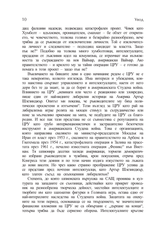дащ фалшиви надежди, подвеждащ катастрофален проект. Човек като Хумболт - вдъхновен, проницателен, смахнат - бе обзет от откритието, че човечеството, толкова голямо и безкрайно разнообразно, вече трябва да се ръководи от изключителни личности. Той е изключителна личност и следователно - подходящ кандидат за властта. Защо пък не?" Подобно на толкова много хумболтовци, интелектуалците, предадени от лъжливия идол на комунизма, се втренчват във възможността за съграждането на нов Ваймар, американски Ваймар. Ако правителството - и крилото му за тайни операции ЦРУ - е готово да помага в този проект - защо пък не?

Въвличането на бившите леви в едно начинание редом с ЦРУ не е така невероятно, колкото изглежда. Има интереси и убеждения, които наистина свързват управлението и интелектуалците, наети от него дори без те да знаят, за да се борят в американската Студена война. Влиянието на ЦРУ "невинаги или често е реакционно или зловредно, пише един от най-видните либерални историци на Америка Артър Шлезинджър. Опитът ми показва, че ръководителите му бяха политически просветени и изтънчени". Този възглед за ЦРУ като рай на либерализма играе ролята на мощен стимул за сътрудничество или поне за мълчаливо приемане на мита, че подбудите на ЦРУ са благородни. И все пак тази представа не се съвместява с репутацията на ЦРУ като грубо интервенционистичен и застрашително безотчетен инструмент в американската Студена война. Това е организацията, която направлява свалянето на министър-председателя Мосадък на Иран от власт през 1953 г., свалянето на правителството на Арбенс в Гватемала през 1954 г., катастрофалната операция в Залива на прасетата през 1961 г., печално известната операция "Феникс" във Виетнам. Тя шпионира десетки хиляди американци, тормози демократично избрани ръководители в чужбина, крои покушения, отрича пред Конгреса тези деяния и по този начин издига изкуството на лъжата до нови висоти. Но чрез какво странно преображение ЦРУ успява да се представи пред почтени интелектуалци, като Артър Шлезинджър, като златен съсъд на скъпоценния либерализъм?

Степента, до която шпионската вырхушка на САЩ прониква в културата на западните си съюзници, действайки като прикрит проводник на разнообразна творческа дейност, местейки интелектуалците и творбите им като шахматни фигурки в Голямата игра, остава едно от най-интересните наследства на Студената война. Защитата на опекуните на този период, основаваща се на твърдението, че значителните финансови вложения на ЦРУ не са обвързани с "дърпане на конци", тепърва трябва да бъде сериозно оборена. Интелектуалните кръгове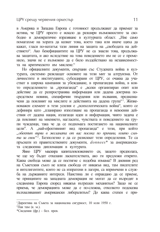в Америка и Западна Европа с готовност продължават да приемат за истина, че ЦРУ просто е искало да разшири възможностите за своболно и демократично изразяване в културната област. ..Ние само помагахме на хората да казват това, което така или иначе шяха да кажат, гласи по-нататък тази линия на защита на "свободата на действието". Ако бенефициантите на ЦРУ не са знаели това, продължава защитата, и ако вследствие на това поведението им не се е променило, значи не е възможно ла е било възлействано на независимостта на критическото им мислене."

Но официалните документи, свързани със Студената война в културата, системно разклащат основите на този мит за алтруизма. От личностите и институциите, субсидирани от ЦРУ, се очаква да участват в широка кампания за убеждаване, в пропагандна война, в която определението за "пропаганда" е "всеки организиран опит или действие да се разпространява информация или дадена доктрина посредством новини, специфични твърдения или възвания, предназначени да повлияят на мислите и действията на дадена група"<sup>1</sup>. Жизненоважен елемент в тези усилия е "психологическата война", която се дефинира като "планирано използване на пропаганда и невоенни лействия от лалена нация, излагации илеи и информация, чиято залача е ла повлияят на мнението, нагласите, чувствата и повелението на групи чужденци, така че да се подпомага постигането на националните цели". А "най-ефективният вид пропаганда" е този, при който "обектът върви в желаната от вас посока по причини, които смята за свои "<sup>2</sup>. Безполезно е да се разискват тези определения. Те са пръснати из правителствените локументи, *donnees*<sup>\*</sup> за американската следвоенна дипломация в културата.

Явно ЦРУ маскира капиталовложението си, защото предполага, че ще му бъдат отказани ласкателствата, ако ги предложи открито. Каква свобода може да се постигне с подобна измама? В дневния ред на Съветския съюз не влиза свобода от никакъв вид, там писателите и интелигентите, които не са изпратени в лагери, са впримчени в служба на държавните интереси. Наистина ли е оправдано да се приеме, че принципите на западната демокрация не могат да се възродят в следвоенна Европа според някакъв вътрешен механизъм? Защо не се приема, че демокрацията може да е по-сложна, отколкото подсказва възхваляваният американски либерализъм? До каква степен е при-

<sup>1</sup> Директива на Съвета за национална сигурност, 10 юли 1950 г.

<sup>&</sup>lt;sup>2</sup>Пак там (к. м.).

<sup>\*</sup>Свеления (фр.) - бел. прев.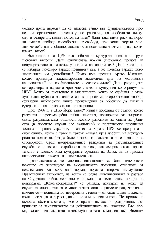емливо друга държава да се намесва тайно във фундаменталния процес на органичното интелектуално развитие, на свободната дискусия, в безпрепятствения поток на илеи? Дали така няма риск ла породи вместо свобода своеобразна не-свобода, при която хората мислят, че действат свободно, докато всъщност зависят от сили, над които нямат впаст?

Включването на ЦРУ във войната в културата повдига и други тревожни выпоси. Дали финансовата помощ деформира процеса на популяризиране на интелектуалците и на идеите им? Дали хората не се избират по-скоро зарали позицията им, а не толкова зарали интелектуалните им постойнства? Какво има прелвил Артър Кьостлер, когато иронизира "международния академичен кръг на момичетата на повикване" по конференциите и симпозиумите? Дали репутацията се гарантира и нараства чрез членството в културния консорциум на ЦРУ? Колко от писателите и мислителите, които се слобиват с международна публика за идеите си, всъщност са второразредни творци, ефимерни публицисти, чиито произведения са обречени да гният в сутерените на второкласни книжарници?

През 1966 г. в "Ню Йорк таймс" излиза поредица от статии, които разкриват широкомашабни тайни лействия, прелприети от американската разузнавателна общност. Когато разказите за опити за убийства (в повечето случаи зле скалъпени) и политически покушения засипват първите страници, в очите на хората ЦРУ се превръща в слон единак, който с гръм и трясък минава през дебрите на международната политика, без да бъде възпрян от каквото и да е съзнание за отговорност. Сред по-драматичните разкрития за разузнавателните служби се появяват подробности за това, как американското правителство е гледало към културните брамини на Запад, за да придаде интелектуална тежест на действията си.

Предположението, че мнозина интелитенти са били вдъхновени по-скоро от заповедите на американските политици, отколкото от независимите си собствени норми, поражда ШИРОКО ВЪЗМУЩЕНИЕ. Нравственият авторитет, на който се радва интелигенцията в разгара на Студената война, сериозно е подкопан и често става прицел на подигравки. "Консенсокрацията" се разпада, центърът не може да служи за опора, затова самият разказ става фрагментиран, частичен, изменя се - понякога до невероятна степен - от сили вляво и вдясно, които искат да извъртят дадени истини в своя изгода. По ирония на съдбата обстоятелствата, които правят възможни разкритията, допринасят за замъгляването на действителното им значение. Във време, когато маниакалната антикомунистическа кампания във Виетнам